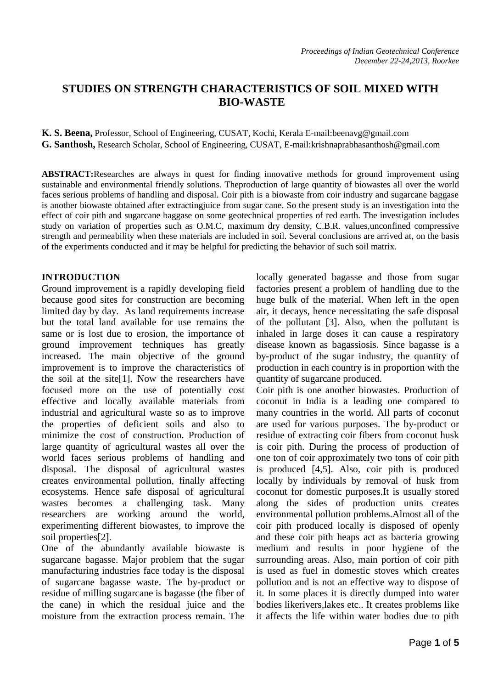# **STUDIES ON STRENGTH CHARACTERISTICS OF SOIL MIXED WITH BIO-WASTE**

**K. S. Beena,** Professor, School of Engineering, CUSAT, Kochi, Kerala E-mail:beenavg@gmail.com **G. Santhosh,** Research Scholar, School of Engineering, CUSAT, E-mail:krishnaprabhasanthosh@gmail.com

**ABSTRACT:**Researches are always in quest for finding innovative methods for ground improvement using sustainable and environmental friendly solutions. Theproduction of large quantity of biowastes all over the world faces serious problems of handling and disposal. Coir pith is a biowaste from coir industry and sugarcane baggase is another biowaste obtained after extractingjuice from sugar cane. So the present study is an investigation into the effect of coir pith and sugarcane baggase on some geotechnical properties of red earth. The investigation includes study on variation of properties such as O.M.C, maximum dry density, C.B.R. values,unconfined compressive strength and permeability when these materials are included in soil. Several conclusions are arrived at, on the basis of the experiments conducted and it may be helpful for predicting the behavior of such soil matrix.

#### **INTRODUCTION**

Ground improvement is a rapidly developing field because good sites for construction are becoming limited day by day. As land requirements increase but the total land available for use remains the same or is lost due to erosion, the importance of ground improvement techniques has greatly increased. The main objective of the ground improvement is to improve the characteristics of the soil at the site[1]. Now the researchers have focused more on the use of potentially cost effective and locally available materials from industrial and agricultural waste so as to improve the properties of deficient soils and also to minimize the cost of construction. Production of large quantity of agricultural wastes all over the world faces serious problems of handling and disposal. The disposal of agricultural wastes creates environmental pollution, finally affecting ecosystems. Hence safe disposal of agricultural wastes becomes a challenging task. Many researchers are working around the world, experimenting different biowastes, to improve the soil properties<sup>[2]</sup>.

One of the abundantly available biowaste is sugarcane bagasse. Major problem that the sugar manufacturing industries face today is the disposal of sugarcane bagasse waste. The by-product or residue of milling sugarcane is bagasse (the fiber of the cane) in which the residual juice and the moisture from the extraction process remain. The

locally generated bagasse and those from sugar factories present a problem of handling due to the huge bulk of the material. When left in the open air, it decays, hence necessitating the safe disposal of the pollutant [3]. Also, when the pollutant is inhaled in large doses it can cause a respiratory disease known as bagassiosis. Since bagasse is a by-product of the sugar industry, the quantity of production in each country is in proportion with the quantity of sugarcane produced.

Coir pith is one another biowastes. Production of coconut in India is a leading one compared to many countries in the world. All parts of coconut are used for various purposes. The by-product or residue of extracting coir fibers from coconut husk is coir pith. During the process of production of one ton of coir approximately two tons of coir pith is produced [4,5]. Also, coir pith is produced locally by individuals by removal of husk from coconut for domestic purposes.It is usually stored along the sides of production units creates environmental pollution problems.Almost all of the coir pith produced locally is disposed of openly and these coir pith heaps act as bacteria growing medium and results in poor hygiene of the surrounding areas. Also, main portion of coir pith is used as fuel in domestic stoves which creates pollution and is not an effective way to dispose of it. In some places it is directly dumped into water bodies likerivers,lakes etc.. It creates problems like it affects the life within water bodies due to pith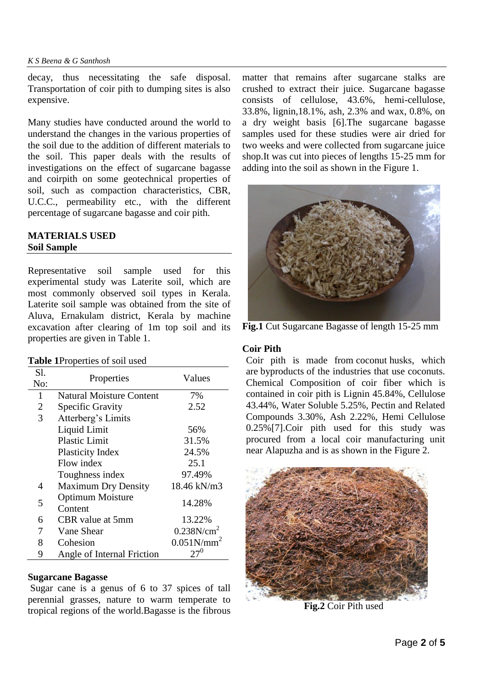decay, thus necessitating the safe disposal. Transportation of coir pith to dumping sites is also expensive.

Many studies have conducted around the world to understand the changes in the various properties of the soil due to the addition of different materials to the soil. This paper deals with the results of investigations on the effect of sugarcane bagasse and coirpith on some geotechnical properties of soil, such as compaction characteristics, CBR, U.C.C., permeability etc., with the different percentage of sugarcane bagasse and coir pith.

## **MATERIALS USED Soil Sample**

Representative soil sample used for this experimental study was Laterite soil, which are most commonly observed soil types in Kerala. Laterite soil sample was obtained from the site of Aluva, Ernakulam district, Kerala by machine excavation after clearing of 1m top soil and its properties are given in Table 1.

#### **Table 1**Properties of soil used

| S1.<br>No:     | Properties                         | Values                 |
|----------------|------------------------------------|------------------------|
| 1              | <b>Natural Moisture Content</b>    | 7%                     |
| $\overline{2}$ | <b>Specific Gravity</b>            | 2.52                   |
| 3              | Atterberg's Limits                 |                        |
|                | Liquid Limit                       | 56%                    |
|                | <b>Plastic Limit</b>               | 31.5%                  |
|                | <b>Plasticity Index</b>            | 24.5%                  |
|                | Flow index                         | 25.1                   |
|                | Toughness index                    | 97.49%                 |
| 4              | <b>Maximum Dry Density</b>         | 18.46 kN/m3            |
| 5              | <b>Optimum Moisture</b><br>Content | 14.28%                 |
| 6              | CBR value at 5mm                   | 13.22%                 |
|                | Vane Shear                         | 0.238N/cm <sup>2</sup> |
| 8              | Cohesion                           | $0.051N/mm^2$          |
| 9              | Angle of Internal Friction         | $27^0$                 |

## **Sugarcane Bagasse**

Sugar cane is a genus of 6 to 37 spices of tall perennial grasses, nature to warm temperate to tropical regions of the world.Bagasse is the fibrous matter that remains after sugarcane stalks are crushed to extract their juice. Sugarcane bagasse consists of cellulose, 43.6%, hemi-cellulose, 33.8%, lignin,18.1%, ash, 2.3% and wax, 0.8%, on a dry weight basis [6].The sugarcane bagasse samples used for these studies were air dried for two weeks and were collected from sugarcane juice shop.It was cut into pieces of lengths 15-25 mm for adding into the soil as shown in the Figure 1.



**Fig.1** Cut Sugarcane Bagasse of length 15-25 mm

#### **Coir Pith**

Coir pith is made from coconut husks, which are byproducts of the industries that use coconuts. Chemical Composition of coir fiber which is contained in coir pith is Lignin 45.84%, Cellulose 43.44%, Water Soluble 5.25%, Pectin and Related Compounds 3.30%, Ash 2.22%, Hemi Cellulose 0.25%[7].Coir pith used for this study was procured from a local coir manufacturing unit near Alapuzha and is as shown in the Figure 2.



**Fig.2** Coir Pith used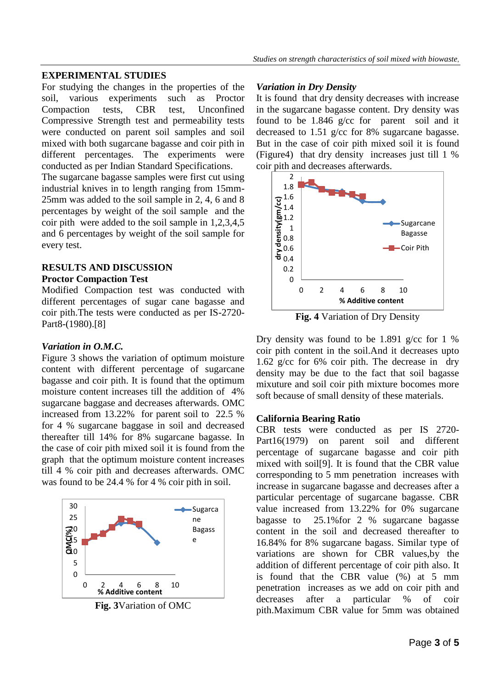## **EXPERIMENTAL STUDIES**

For studying the changes in the properties of the soil, various experiments such as Proctor Compaction tests, CBR test, Unconfined Compressive Strength test and permeability tests were conducted on parent soil samples and soil mixed with both sugarcane bagasse and coir pith in different percentages. The experiments were conducted as per Indian Standard Specifications.

The sugarcane bagasse samples were first cut using industrial knives in to length ranging from 15mm-25mm was added to the soil sample in 2, 4, 6 and 8 percentages by weight of the soil sample and the coir pith were added to the soil sample in 1,2,3,4,5 and 6 percentages by weight of the soil sample for every test.

## **RESULTS AND DISCUSSION**

#### **Proctor Compaction Test**

Modified Compaction test was conducted with different percentages of sugar cane bagasse and coir pith.The tests were conducted as per IS-2720- Part8-(1980).[8]

### *Variation in O.M.C.*

Figure 3 shows the variation of optimum moisture content with different percentage of sugarcane bagasse and coir pith. It is found that the optimum moisture content increases till the addition of 4% sugarcane baggase and decreases afterwards. OMC increased from 13.22% for parent soil to 22.5 % for 4 % sugarcane baggase in soil and decreased thereafter till 14% for 8% sugarcane bagasse. In the case of coir pith mixed soil it is found from the graph that the optimum moisture content increases till 4 % coir pith and decreases afterwards. OMC was found to be 24.4 % for 4 % coir pith in soil.



**Fig. 3**Variation of OMC

#### *Variation in Dry Density*

It is found that dry density decreases with increase in the sugarcane bagasse content. Dry density was found to be 1.846 g/cc for parent soil and it decreased to 1.51 g/cc for 8% sugarcane bagasse. But in the case of coir pith mixed soil it is found (Figure4) that dry density increases just till 1 % coir pith and decreases afterwards.



**Fig. 4** Variation of Dry Density

Dry density was found to be 1.891 g/cc for 1 % coir pith content in the soil.And it decreases upto 1.62 g/cc for 6% coir pith. The decrease in dry density may be due to the fact that soil bagasse mixuture and soil coir pith mixture bocomes more soft because of small density of these materials.

## **California Bearing Ratio**

CBR tests were conducted as per IS 2720- Part16(1979) on parent soil and different percentage of sugarcane bagasse and coir pith mixed with soil[9]. It is found that the CBR value corresponding to 5 mm penetration increases with increase in sugarcane bagasse and decreases after a particular percentage of sugarcane bagasse. CBR value increased from 13.22% for 0% sugarcane bagasse to 25.1%for 2 % sugarcane bagasse content in the soil and decreased thereafter to 16.84% for 8% sugarcane bagass. Similar type of variations are shown for CBR values,by the addition of different percentage of coir pith also. It is found that the CBR value (%) at 5 mm penetration increases as we add on coir pith and decreases after a particular % of coir pith.Maximum CBR value for 5mm was obtained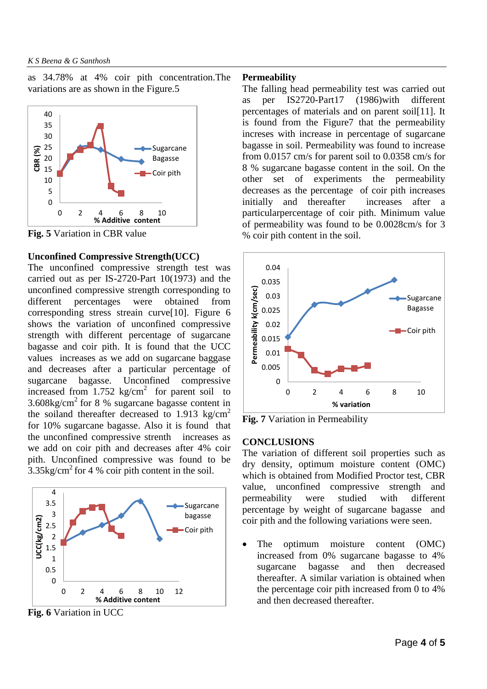as 34.78% at 4% coir pith concentration.The variations are as shown in the Figure.5



**Fig. 5** Variation in CBR value

#### **Unconfined Compressive Strength(UCC)**

The unconfined compressive strength test was carried out as per IS-2720-Part 10(1973) and the unconfined compressive strength corresponding to different percentages were obtained from corresponding stress streain curve[10]. Figure 6 shows the variation of unconfined compressive strength with different percentage of sugarcane bagasse and coir pith. It is found that the UCC values increases as we add on sugarcane baggase and decreases after a particular percentage of sugarcane bagasse. Unconfined compressive increased from  $1.752 \text{ kg/cm}^2$  for parent soil to  $3.608\text{kg/cm}^2$  for 8 % sugarcane bagasse content in the soiland thereafter decreased to 1.913 kg/cm<sup>2</sup> for 10% sugarcane bagasse. Also it is found that the unconfined compressive strenth increases as we add on coir pith and decreases after 4% coir pith. Unconfined compressive was found to be  $3.35\text{kg/cm}^2$  for 4 % coir pith content in the soil.



**Fig. 6** Variation in UCC

#### **Permeability**

The falling head permeability test was carried out as per IS2720-Part17 (1986)with different percentages of materials and on parent soil[11]. It is found from the Figure7 that the permeability increses with increase in percentage of sugarcane bagasse in soil. Permeability was found to increase from 0.0157 cm/s for parent soil to 0.0358 cm/s for 8 % sugarcane bagasse content in the soil. On the other set of experiments the permeability decreases as the percentage of coir pith increases initially and thereafter increases after a particularpercentage of coir pith. Minimum value of permeability was found to be 0.0028cm/s for 3 % coir pith content in the soil.



**Fig. 7** Variation in Permeability

#### **CONCLUSIONS**

The variation of different soil properties such as dry density, optimum moisture content (OMC) which is obtained from Modified Proctor test, CBR value, unconfined compressive strength and permeability were studied with different percentage by weight of sugarcane bagasse and coir pith and the following variations were seen.

 The optimum moisture content (OMC) increased from 0% sugarcane bagasse to 4% sugarcane bagasse and then decreased thereafter. A similar variation is obtained when the percentage coir pith increased from 0 to 4% and then decreased thereafter.